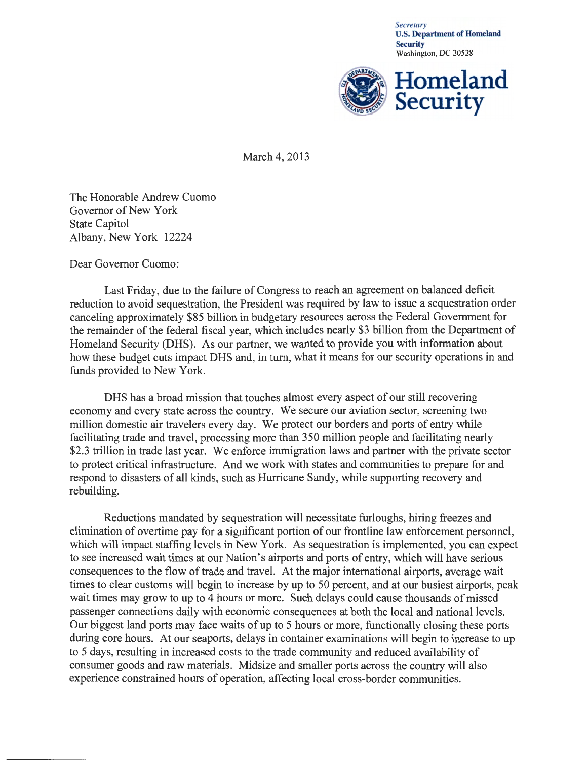*Secretary*  U.S. Department of Homeland **Security** Washington, DC 20528



March 4, 2013

The Honorable Andrew Cuomo Governor of New York State Capitol Albany, New York 12224

Dear Governor Cuomo:

Last Friday, due to the failure of Congress to reach an agreement on balanced deficit reduction to avoid sequestration, the President was required by law to issue a sequestration order canceling approximately \$85 billion in budgetary resources across the Federal Government for the remainder of the federal fiscal year, which includes nearly \$3 billion from the Department of Homeland Security (DHS). As our partner, we wanted to provide you with information about how these budget cuts impact DHS and, in turn, what it means for our security operations in and funds provided to New York.

DHS has a broad mission that touches almost every aspect of our still recovering economy and every state across the country. We secure our aviation sector, screening two million domestic air travelers every day. We protect our borders and ports of entry while facilitating trade and travel, processing more than 350 million people and facilitating nearly \$2.3 trillion in trade last year. We enforce immigration laws and partner with the private sector to protect critical infrastructure. And we work with states and communities to prepare for and respond to disasters of all kinds, such as Hurricane Sandy, while supporting recovery and rebuilding.

Reductions mandated by sequestration will necessitate furloughs, hiring freezes and elimination of overtime pay for a significant portion of our frontline law enforcement personnel, which will impact staffing levels in New York. As sequestration is implemented, you can expect to see increased wait times at our Nation's airports and ports of entry, which will have serious consequences to the flow of trade and travel. At the major international airports, average wait times to clear customs will begin to increase by up to 50 percent, and at our busiest airports, peak wait times may grow to up to 4 hours or more. Such delays could cause thousands of missed passenger connections daily with economic consequences at both the local and national levels. Our biggest land ports may face waits of up to 5 hours or more, functionally closing these ports during core hours. At our seaports, delays in container examinations will begin to increase to up to 5 days, resulting in increased costs to the trade community and reduced availability of consumer goods and raw materials. Midsize and smaller ports across the country will also experience constrained hours of operation, affecting local cross-border communities.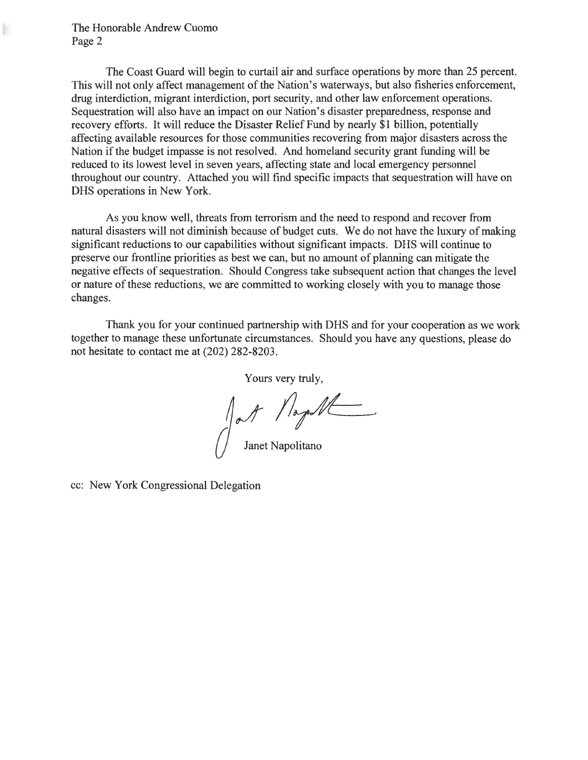K

The Coast Guard will begin to curtail air and surface operations by more than 25 percent. This will not only affect management of the Nation's waterways, but also fisheries enforcement, drug interdiction, migrant interdiction, port security, and other law enforcement operations. Sequestration will also have an impact on our Nation's disaster preparedness, response and recovery efforts. It will reduce the Disaster Relief Fund by nearly \$1 billion, potentially affecting available resources for those communities recovering from major disasters across the Nation if the budget impasse is not resolved. And homeland security grant funding will be reduced to its lowest level in seven years, affecting state and local emergency personnel throughout our country. Attached you will find specific impacts that sequestration will have on DHS operations in New York.

As you know well, threats from terrorism and the need to respond and recover from natural disasters will not diminish because of budget cuts. We do not have the luxury of making significant reductions to our capabilities without significant impacts. DHS will continue to preserve our frontline priorities as best we can, but no amount of planning can mitigate the negative effects of sequestration. Should Congress take subsequent action that changes the level or nature of these reductions, we are committed to working closely with you to manage those changes.

Thank you for your continued partnership with DHS and for your cooperation as we work together to manage these unfortunate circumstances. Should you have any questions, please do not hesitate to contact me at (202) 282-8203.

Yours very truly,

Jll~ Janet Napolitano

cc: New York Congressional Delegation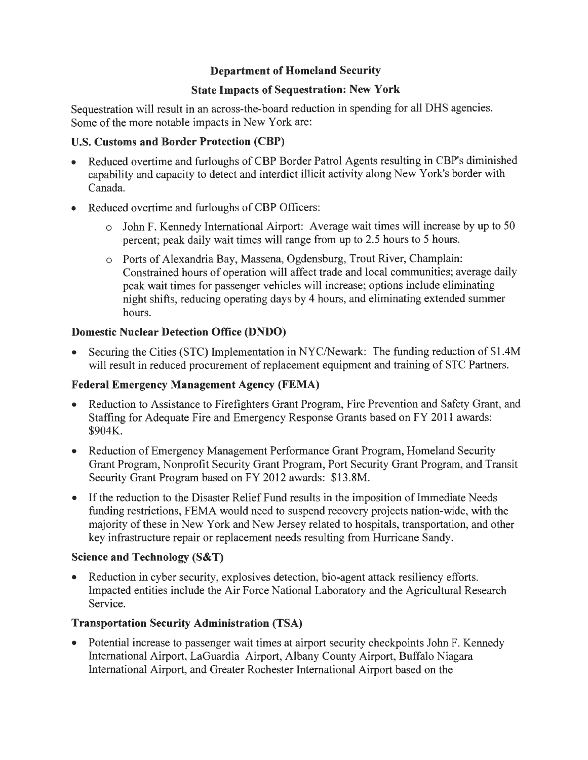## **Department of Homeland Security**

#### **State Impacts of Sequestration: New York**

Sequestration will result in an across-the-board reduction in spending for all DHS agencies. Some of the more notable impacts in New York are:

## U.S. **Customs and Border Protection (CBP)**

- Reduced overtime and furloughs of CBP Border Patrol Agents resulting in CBP's diminished capability and capacity to detect and interdict illicit activity along New York's border with Canada.
- Reduced overtime and furloughs of CBP Officers:
	- o John F. Kennedy International Airport: Average wait times will increase by up to 50 percent; peak daily wait times will range from up to 2.5 hours to 5 hours.
	- o Ports of Alexandria Bay, Massena, Ogdensburg, Trout River, Champlain: Constrained hours of operation will affect trade and local communities; average daily peak wait times for passenger vehicles will increase; options include eliminating night shifts, reducing operating days by 4 hours, and eliminating extended summer hours.

#### **Domestic Nuclear Detection Office (DNDO)**

Securing the Cities (STC) Implementation in NYC/Newark: The funding reduction of \$1.4M will result in reduced procurement of replacement equipment and training of STC Partners.

#### **Federal Emergency Management Agency (FEMA)**

- Reduction to Assistance to Firefighters Grant Program, Fire Prevention and Safety Grant, and Staffing for Adequate Fire and Emergency Response Grants based on FY 2011 awards: \$904K.
- Reduction of Emergency Management Performance Grant Program, Homeland Security Grant Program, Nonprofit Security Grant Program, Port Security Grant Program, and Transit Security Grant Program based on FY 2012 awards: \$13.8M.
- If the reduction to the Disaster Relief Fund results in the imposition of Immediate Needs funding restrictions, FEMA would need to suspend recovery projects nation-wide, with the majority of these in New York and New Jersey related to hospitals, transportation, and other key infrastructure repair or replacement needs resulting from Hurricane Sandy.

#### **Science and Technology (S&T)**

• Reduction in cyber security, explosives detection, bio-agent attack resiliency efforts. Impacted entities include the Air Force National Laboratory and the Agricultural Research Service.

## **Transportation Security Administration (TSA)**

• Potential increase to passenger wait times at airport security checkpoints John F. Kennedy International Airport, LaGuardia Airport, Albany County Airport, Buffalo Niagara International Airport, and Greater Rochester International Airport based on the